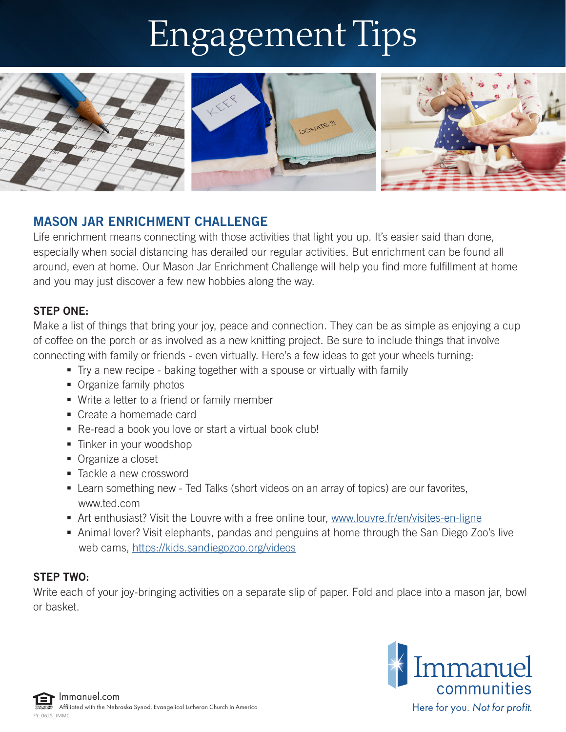# Engagement Tips



# MASON JAR ENRICHMENT CHALLENGE

Life enrichment means connecting with those activities that light you up. It's easier said than done, especially when social distancing has derailed our regular activities. But enrichment can be found all around, even at home. Our Mason Jar Enrichment Challenge will help you find more fulfillment at home and you may just discover a few new hobbies along the way.

#### STEP ONE:

Make a list of things that bring your joy, peace and connection. They can be as simple as enjoying a cup of coffee on the porch or as involved as a new knitting project. Be sure to include things that involve connecting with family or friends - even virtually. Here's a few ideas to get your wheels turning:

- Try a new recipe baking together with a spouse or virtually with family
- Organize family photos
- Write a letter to a friend or family member
- Create a homemade card
- Re-read a book you love or start a virtual book club!
- **Tinker in your woodshop**
- Organize a closet
- Tackle a new crossword
- Learn something new Ted Talks (short videos on an array of topics) are our favorites, www.ted.com
- Art enthusiast? Visit the Louvre with a free online tour, www.louvre.fr/en/visites-en-ligne
- Animal lover? Visit elephants, pandas and penguins at home through the San Diego Zoo's live web cams, https://kids.sandiegozoo.org/videos

## STEP TWO:

Write each of your joy-bringing activities on a separate slip of paper. Fold and place into a mason jar, bowl or basket.